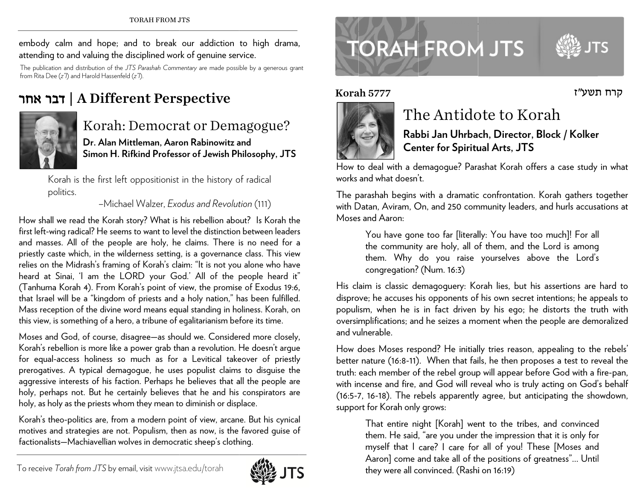embody calm and hope; and to break our addiction to high drama, attending to and valuing the disciplined work of genuine service.

The publication n and distribution of th e *JTS Parashah Com m mentary* are made possi ble by a generous gran from Rita Dee ( *<sup>z</sup>"l*) and Harold Hassen nfeld (*z"l*).

## בר אחר ד | A Diffe erent Per s spective



### Korah: Democrat or Demagogue?

**Dr. Alan MMittleman, Aar oon Rabinowitz aand Simon H. Rifkind Professsor of Jewish Phhilosophy, JTS** 

Korah is the first left oppositionist in the history of radical pol itics.

–Mich hael Walzer, *Ex o odus and Revolut tion* (111)

How shall we read the Korah story? What is his rebellion about? Is Korah the first left-wing radical? He seems to want to level the distinction between leaders and masses. All of the people are holy, he claims. There is no need for a priestly caste which, in the wilderness setting, is a governance class. This view relies on the Midrash's framing of Korah's claim: "It is not you alone who have heard at Sinai, 'I am the LORD your God.' All of the people heard it" (Tanhuma Korah 4). From Korah's point of view, the promise of Exodus 19:6, that Israel will be a "kingdom of priests and a holy nation," has been fulfilled. Mass reception of the divine word means equal standing in holiness. Korah, on this view, is something of a hero, a tribune of egalitarianism before its time. , animi estate entry die verwys verwys die verwys verwys verwys die verwys verwys die verwys verwys die van die van die van die van die van die van die van die van die van die van die van die van die van die van die van di fnt

Moses and God, of course, disagree—as should we. Considered more closely, Korah's reb ellion is more like e a power grab th han a revolution. He doesn't argue for equal-access holiness so much as for a Levitical takeover of priestly prerogatives. A typical demagogue, he uses populist claims to disguise the aggressive interests of his faction. Perhaps he believes that all the people are holy, perhaps not. But he certainly believes that he and his conspirators are holy, as holy as the priests whom they mean to diminish or displace.

Korah's theo-politics are, from a modern point of view, arcane. But his cynical motives and strategies are not. Populism, then as now, is the favored guise of factionalists—Machiavellian wolves in democratic sheep's clothing.



# **TORAH FROM JTS**

#### Korah 5777



## The Antidote to Korah

**Ra b bbi Jan Uhrba ch, Director, B Block / Kolker rCennter for Spirit uual Arts, JTS** 

How to deal with a demagogue? Parashat Korah offers a case study in what works and what doesn''t.

The p parashah begins with a dramatic c confrontation. Korah gathers t together with Datan, Aviram, On, and 250 community leaders, and hurls accusations at Moses and Aaron:

You have gone too far [literally: You have too much]! For all<br>the community are holy, all of them, and the Lord is among<br>them. Why do you raise yourselves above the Lord's<br>congregation? (Num. 16:3)<br>His claim is classic dem You have gone too far [literally: You have too much]! For all the community are holy, all of them, and the Lord is among them. Why do you raise yourselves above the Lord's congregation? (Num. 16:3)

disprove; he accuses his opponents of his own secret intentions; he appeals to populism, when he is in fact driven by his ego; he distorts the truth with oversimplifications; and he seizes a moment when the people are demoralized and vulnerable.

How does Moses respond? He initially tries reason, appealing to the rebels' better nature (16:8-11). When that fails, he then proposes a test to reveal the truth: each member of the rebel group will appear before God with a fire-pan, with incense and fire, and God will reveal who is truly acting on God's behalf (16:5-7, 16-18). The rebels apparently agree, but anticipating the showdown, support for Korah only grows:

That entire night [Korah] went to the tribes, and convinced them. He said, "are you under the impression that it is only for myself that I care? I care for all of you! These [Moses and Aaron] come and take all of the positions of greatness"... Until they were all convinced. (Rashi on 16:19) r<br>l

קרח תשע״ז